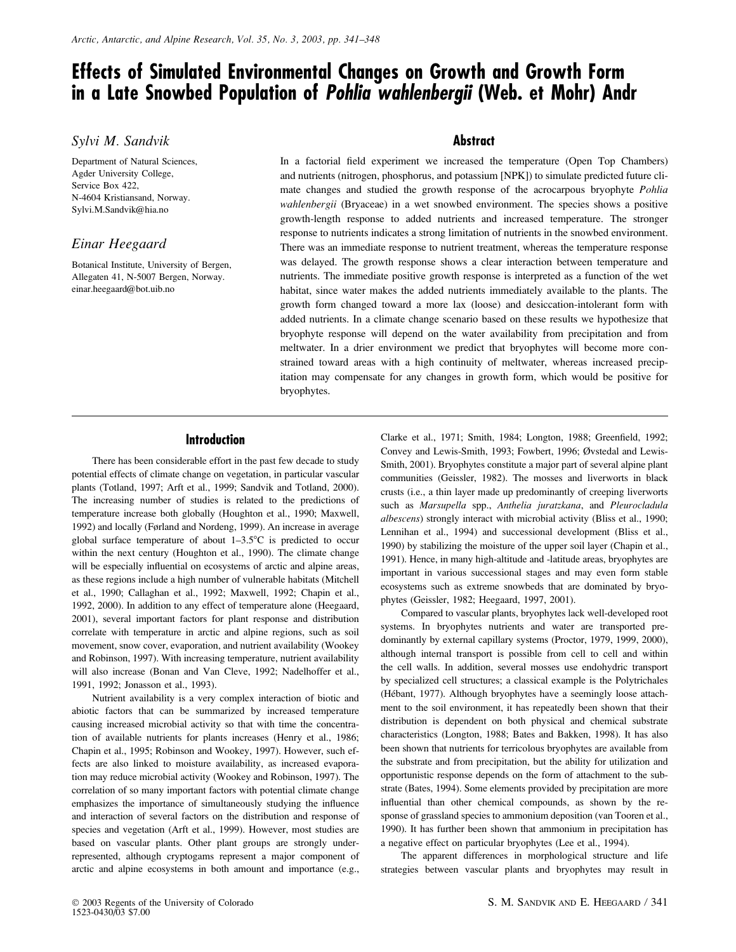# Effects of Simulated Environmental Changes on Growth and Growth Form in a Late Snowbed Population of Pohlia wahlenbergii (Web. et Mohr) Andr

# Sylvi M. Sandvik

Department of Natural Sciences, Agder University College, Service Box 422, N-4604 Kristiansand, Norway. Sylvi.M.Sandvik@hia.no

# Einar Heegaard

Botanical Institute, University of Bergen, Allegaten 41, N-5007 Bergen, Norway. einar.heegaard@bot.uib.no

## **Abstract**

In a factorial field experiment we increased the temperature (Open Top Chambers) and nutrients (nitrogen, phosphorus, and potassium [NPK]) to simulate predicted future climate changes and studied the growth response of the acrocarpous bryophyte Pohlia wahlenbergii (Bryaceae) in a wet snowbed environment. The species shows a positive growth-length response to added nutrients and increased temperature. The stronger response to nutrients indicates a strong limitation of nutrients in the snowbed environment. There was an immediate response to nutrient treatment, whereas the temperature response was delayed. The growth response shows a clear interaction between temperature and nutrients. The immediate positive growth response is interpreted as a function of the wet habitat, since water makes the added nutrients immediately available to the plants. The growth form changed toward a more lax (loose) and desiccation-intolerant form with added nutrients. In a climate change scenario based on these results we hypothesize that bryophyte response will depend on the water availability from precipitation and from meltwater. In a drier environment we predict that bryophytes will become more constrained toward areas with a high continuity of meltwater, whereas increased precipitation may compensate for any changes in growth form, which would be positive for bryophytes.

# Introduction

There has been considerable effort in the past few decade to study potential effects of climate change on vegetation, in particular vascular plants (Totland, 1997; Arft et al., 1999; Sandvik and Totland, 2000). The increasing number of studies is related to the predictions of temperature increase both globally (Houghton et al., 1990; Maxwell, 1992) and locally (Førland and Nordeng, 1999). An increase in average global surface temperature of about  $1-3.5^{\circ}\text{C}$  is predicted to occur within the next century (Houghton et al., 1990). The climate change will be especially influential on ecosystems of arctic and alpine areas, as these regions include a high number of vulnerable habitats (Mitchell et al., 1990; Callaghan et al., 1992; Maxwell, 1992; Chapin et al., 1992, 2000). In addition to any effect of temperature alone (Heegaard, 2001), several important factors for plant response and distribution correlate with temperature in arctic and alpine regions, such as soil movement, snow cover, evaporation, and nutrient availability (Wookey and Robinson, 1997). With increasing temperature, nutrient availability will also increase (Bonan and Van Cleve, 1992; Nadelhoffer et al., 1991, 1992; Jonasson et al., 1993).

Nutrient availability is a very complex interaction of biotic and abiotic factors that can be summarized by increased temperature causing increased microbial activity so that with time the concentration of available nutrients for plants increases (Henry et al., 1986; Chapin et al., 1995; Robinson and Wookey, 1997). However, such effects are also linked to moisture availability, as increased evaporation may reduce microbial activity (Wookey and Robinson, 1997). The correlation of so many important factors with potential climate change emphasizes the importance of simultaneously studying the influence and interaction of several factors on the distribution and response of species and vegetation (Arft et al., 1999). However, most studies are based on vascular plants. Other plant groups are strongly underrepresented, although cryptogams represent a major component of arctic and alpine ecosystems in both amount and importance (e.g., Clarke et al., 1971; Smith, 1984; Longton, 1988; Greenfield, 1992; Convey and Lewis-Smith, 1993; Fowbert, 1996; Øvstedal and Lewis-Smith, 2001). Bryophytes constitute a major part of several alpine plant communities (Geissler, 1982). The mosses and liverworts in black crusts (i.e., a thin layer made up predominantly of creeping liverworts such as Marsupella spp., Anthelia juratzkana, and Pleurocladula albescens) strongly interact with microbial activity (Bliss et al., 1990; Lennihan et al., 1994) and successional development (Bliss et al., 1990) by stabilizing the moisture of the upper soil layer (Chapin et al., 1991). Hence, in many high-altitude and -latitude areas, bryophytes are important in various successional stages and may even form stable ecosystems such as extreme snowbeds that are dominated by bryophytes (Geissler, 1982; Heegaard, 1997, 2001).

Compared to vascular plants, bryophytes lack well-developed root systems. In bryophytes nutrients and water are transported predominantly by external capillary systems (Proctor, 1979, 1999, 2000), although internal transport is possible from cell to cell and within the cell walls. In addition, several mosses use endohydric transport by specialized cell structures; a classical example is the Polytrichales (Hébant, 1977). Although bryophytes have a seemingly loose attachment to the soil environment, it has repeatedly been shown that their distribution is dependent on both physical and chemical substrate characteristics (Longton, 1988; Bates and Bakken, 1998). It has also been shown that nutrients for terricolous bryophytes are available from the substrate and from precipitation, but the ability for utilization and opportunistic response depends on the form of attachment to the substrate (Bates, 1994). Some elements provided by precipitation are more influential than other chemical compounds, as shown by the response of grassland species to ammonium deposition (van Tooren et al., 1990). It has further been shown that ammonium in precipitation has a negative effect on particular bryophytes (Lee et al., 1994).

The apparent differences in morphological structure and life strategies between vascular plants and bryophytes may result in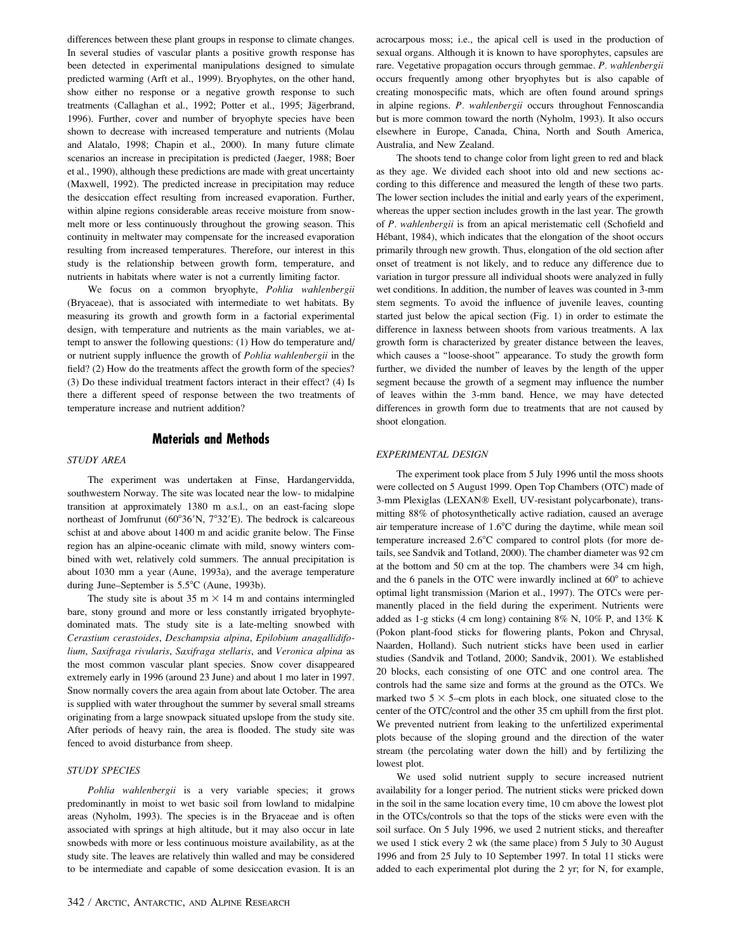differences between these plant groups in response to climate changes. In several studies of vascular plants a positive growth response has been detected in experimental manipulations designed to simulate predicted warming (Arft et al., 1999). Bryophytes, on the other hand, show either no response or a negative growth response to such treatments (Callaghan et al., 1992; Potter et al., 1995; Jägerbrand, 1996). Further, cover and number of bryophyte species have been shown to decrease with increased temperature and nutrients (Molau and Alatalo, 1998; Chapin et al., 2000). In many future climate scenarios an increase in precipitation is predicted (Jaeger, 1988; Boer et al., 1990), although these predictions are made with great uncertainty (Maxwell, 1992). The predicted increase in precipitation may reduce the desiccation effect resulting from increased evaporation. Further, within alpine regions considerable areas receive moisture from snowmelt more or less continuously throughout the growing season. This continuity in meltwater may compensate for the increased evaporation resulting from increased temperatures. Therefore, our interest in this study is the relationship between growth form, temperature, and nutrients in habitats where water is not a currently limiting factor.

We focus on a common bryophyte, Pohlia wahlenbergii (Bryaceae), that is associated with intermediate to wet habitats. By measuring its growth and growth form in a factorial experimental design, with temperature and nutrients as the main variables, we attempt to answer the following questions: (1) How do temperature and/ or nutrient supply influence the growth of Pohlia wahlenbergii in the field? (2) How do the treatments affect the growth form of the species? (3) Do these individual treatment factors interact in their effect? (4) Is there a different speed of response between the two treatments of temperature increase and nutrient addition?

# Materials and Methods

#### STUDY AREA

The experiment was undertaken at Finse, Hardangervidda, southwestern Norway. The site was located near the low- to midalpine transition at approximately 1380 m a.s.l., on an east-facing slope northeast of Jomfrunut ( $60^{\circ}36'N$ ,  $7^{\circ}32'E$ ). The bedrock is calcareous schist at and above about 1400 m and acidic granite below. The Finse region has an alpine-oceanic climate with mild, snowy winters combined with wet, relatively cold summers. The annual precipitation is about 1030 mm a year (Aune, 1993a), and the average temperature during June–September is  $5.5^{\circ}$ C (Aune, 1993b).

The study site is about 35 m  $\times$  14 m and contains intermingled bare, stony ground and more or less constantly irrigated bryophytedominated mats. The study site is a late-melting snowbed with Cerastium cerastoides, Deschampsia alpina, Epilobium anagallidifolium, Saxifraga rivularis, Saxifraga stellaris, and Veronica alpina as the most common vascular plant species. Snow cover disappeared extremely early in 1996 (around 23 June) and about 1 mo later in 1997. Snow normally covers the area again from about late October. The area is supplied with water throughout the summer by several small streams originating from a large snowpack situated upslope from the study site. After periods of heavy rain, the area is flooded. The study site was fenced to avoid disturbance from sheep.

#### STUDY SPECIES

Pohlia wahlenbergii is a very variable species; it grows predominantly in moist to wet basic soil from lowland to midalpine areas (Nyholm, 1993). The species is in the Bryaceae and is often associated with springs at high altitude, but it may also occur in late snowbeds with more or less continuous moisture availability, as at the study site. The leaves are relatively thin walled and may be considered to be intermediate and capable of some desiccation evasion. It is an acrocarpous moss; i.e., the apical cell is used in the production of sexual organs. Although it is known to have sporophytes, capsules are rare. Vegetative propagation occurs through gemmae. P. wahlenbergii occurs frequently among other bryophytes but is also capable of creating monospecific mats, which are often found around springs in alpine regions. P. wahlenbergii occurs throughout Fennoscandia but is more common toward the north (Nyholm, 1993). It also occurs elsewhere in Europe, Canada, China, North and South America, Australia, and New Zealand.

The shoots tend to change color from light green to red and black as they age. We divided each shoot into old and new sections according to this difference and measured the length of these two parts. The lower section includes the initial and early years of the experiment, whereas the upper section includes growth in the last year. The growth of P. wahlenbergii is from an apical meristematic cell (Schofield and Hébant, 1984), which indicates that the elongation of the shoot occurs primarily through new growth. Thus, elongation of the old section after onset of treatment is not likely, and to reduce any difference due to variation in turgor pressure all individual shoots were analyzed in fully wet conditions. In addition, the number of leaves was counted in 3-mm stem segments. To avoid the influence of juvenile leaves, counting started just below the apical section (Fig. 1) in order to estimate the difference in laxness between shoots from various treatments. A lax growth form is characterized by greater distance between the leaves, which causes a ''loose-shoot'' appearance. To study the growth form further, we divided the number of leaves by the length of the upper segment because the growth of a segment may influence the number of leaves within the 3-mm band. Hence, we may have detected differences in growth form due to treatments that are not caused by shoot elongation.

#### EXPERIMENTAL DESIGN

The experiment took place from 5 July 1996 until the moss shoots were collected on 5 August 1999. Open Top Chambers (OTC) made of 3-mm Plexiglas (LEXAN® Exell, UV-resistant polycarbonate), transmitting 88% of photosynthetically active radiation, caused an average air temperature increase of  $1.6^{\circ}$ C during the daytime, while mean soil temperature increased  $2.6^{\circ}$ C compared to control plots (for more details, see Sandvik and Totland, 2000). The chamber diameter was 92 cm at the bottom and 50 cm at the top. The chambers were 34 cm high, and the 6 panels in the OTC were inwardly inclined at  $60^{\circ}$  to achieve optimal light transmission (Marion et al., 1997). The OTCs were permanently placed in the field during the experiment. Nutrients were added as 1-g sticks (4 cm long) containing 8% N, 10% P, and 13% K (Pokon plant-food sticks for flowering plants, Pokon and Chrysal, Naarden, Holland). Such nutrient sticks have been used in earlier studies (Sandvik and Totland, 2000; Sandvik, 2001). We established 20 blocks, each consisting of one OTC and one control area. The controls had the same size and forms at the ground as the OTCs. We marked two  $5 \times 5$ –cm plots in each block, one situated close to the center of the OTC/control and the other 35 cm uphill from the first plot. We prevented nutrient from leaking to the unfertilized experimental plots because of the sloping ground and the direction of the water stream (the percolating water down the hill) and by fertilizing the lowest plot.

We used solid nutrient supply to secure increased nutrient availability for a longer period. The nutrient sticks were pricked down in the soil in the same location every time, 10 cm above the lowest plot in the OTCs/controls so that the tops of the sticks were even with the soil surface. On 5 July 1996, we used 2 nutrient sticks, and thereafter we used 1 stick every 2 wk (the same place) from 5 July to 30 August 1996 and from 25 July to 10 September 1997. In total 11 sticks were added to each experimental plot during the 2 yr; for N, for example,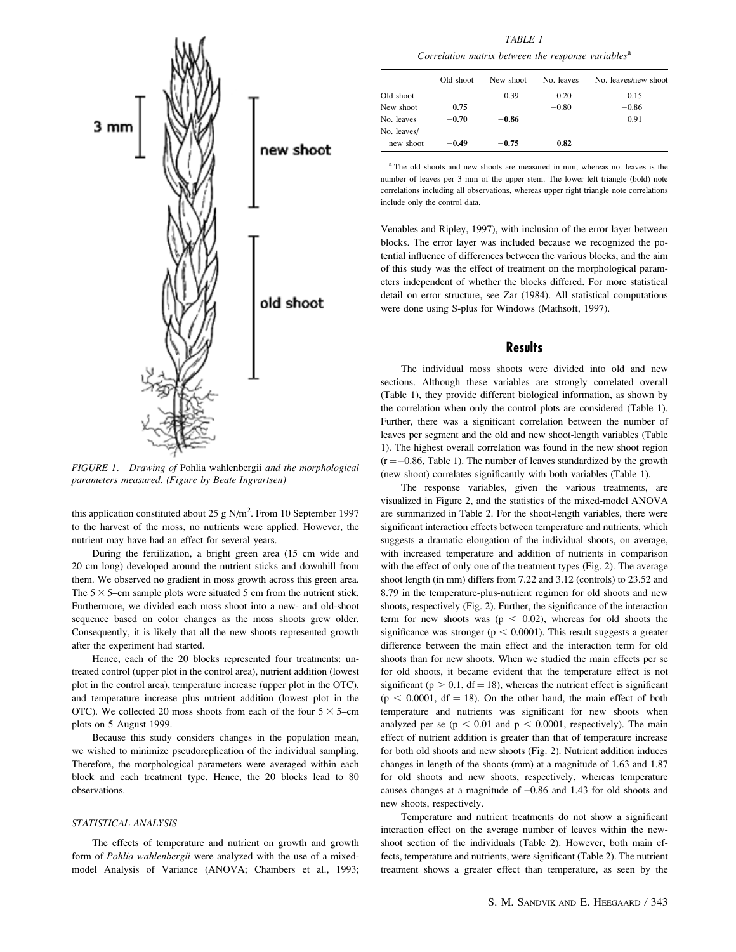

FIGURE 1. Drawing of Pohlia wahlenbergii and the morphological parameters measured. (Figure by Beate Ingvartsen)

this application constituted about 25 g  $N/m<sup>2</sup>$ . From 10 September 1997 to the harvest of the moss, no nutrients were applied. However, the nutrient may have had an effect for several years.

During the fertilization, a bright green area (15 cm wide and 20 cm long) developed around the nutrient sticks and downhill from them. We observed no gradient in moss growth across this green area. The  $5 \times 5$ –cm sample plots were situated 5 cm from the nutrient stick. Furthermore, we divided each moss shoot into a new- and old-shoot sequence based on color changes as the moss shoots grew older. Consequently, it is likely that all the new shoots represented growth after the experiment had started.

Hence, each of the 20 blocks represented four treatments: untreated control (upper plot in the control area), nutrient addition (lowest plot in the control area), temperature increase (upper plot in the OTC), and temperature increase plus nutrient addition (lowest plot in the OTC). We collected 20 moss shoots from each of the four  $5 \times 5$ –cm plots on 5 August 1999.

Because this study considers changes in the population mean, we wished to minimize pseudoreplication of the individual sampling. Therefore, the morphological parameters were averaged within each block and each treatment type. Hence, the 20 blocks lead to 80 observations.

#### STATISTICAL ANALYSIS

The effects of temperature and nutrient on growth and growth form of Pohlia wahlenbergii were analyzed with the use of a mixedmodel Analysis of Variance (ANOVA; Chambers et al., 1993;

TABLE 1 Correlation matrix between the response variables $a$ 

|             | Old shoot | New shoot | No. leaves | No. leaves/new shoot |
|-------------|-----------|-----------|------------|----------------------|
| Old shoot   |           | 0.39      | $-0.20$    | $-0.15$              |
| New shoot   | 0.75      |           | $-0.80$    | $-0.86$              |
| No. leaves  | $-0.70$   | $-0.86$   |            | 0.91                 |
| No. leaves/ |           |           |            |                      |
| new shoot   | $-0.49$   | $-0.75$   | 0.82       |                      |

<sup>a</sup> The old shoots and new shoots are measured in mm, whereas no. leaves is the number of leaves per 3 mm of the upper stem. The lower left triangle (bold) note correlations including all observations, whereas upper right triangle note correlations include only the control data.

Venables and Ripley, 1997), with inclusion of the error layer between blocks. The error layer was included because we recognized the potential influence of differences between the various blocks, and the aim of this study was the effect of treatment on the morphological parameters independent of whether the blocks differed. For more statistical detail on error structure, see Zar (1984). All statistical computations were done using S-plus for Windows (Mathsoft, 1997).

## **Results**

The individual moss shoots were divided into old and new sections. Although these variables are strongly correlated overall (Table 1), they provide different biological information, as shown by the correlation when only the control plots are considered (Table 1). Further, there was a significant correlation between the number of leaves per segment and the old and new shoot-length variables (Table 1). The highest overall correlation was found in the new shoot region  $(r = -0.86,$  Table 1). The number of leaves standardized by the growth (new shoot) correlates significantly with both variables (Table 1).

The response variables, given the various treatments, are visualized in Figure 2, and the statistics of the mixed-model ANOVA are summarized in Table 2. For the shoot-length variables, there were significant interaction effects between temperature and nutrients, which suggests a dramatic elongation of the individual shoots, on average, with increased temperature and addition of nutrients in comparison with the effect of only one of the treatment types (Fig. 2). The average shoot length (in mm) differs from 7.22 and 3.12 (controls) to 23.52 and 8.79 in the temperature-plus-nutrient regimen for old shoots and new shoots, respectively (Fig. 2). Further, the significance of the interaction term for new shoots was ( $p \le 0.02$ ), whereas for old shoots the significance was stronger ( $p < 0.0001$ ). This result suggests a greater difference between the main effect and the interaction term for old shoots than for new shoots. When we studied the main effects per se for old shoots, it became evident that the temperature effect is not significant ( $p > 0.1$ ,  $df = 18$ ), whereas the nutrient effect is significant  $(p < 0.0001$ , df = 18). On the other hand, the main effect of both temperature and nutrients was significant for new shoots when analyzed per se ( $p < 0.01$  and  $p < 0.0001$ , respectively). The main effect of nutrient addition is greater than that of temperature increase for both old shoots and new shoots (Fig. 2). Nutrient addition induces changes in length of the shoots (mm) at a magnitude of 1.63 and 1.87 for old shoots and new shoots, respectively, whereas temperature causes changes at a magnitude of  $-0.86$  and 1.43 for old shoots and new shoots, respectively.

Temperature and nutrient treatments do not show a significant interaction effect on the average number of leaves within the newshoot section of the individuals (Table 2). However, both main effects, temperature and nutrients, were significant (Table 2). The nutrient treatment shows a greater effect than temperature, as seen by the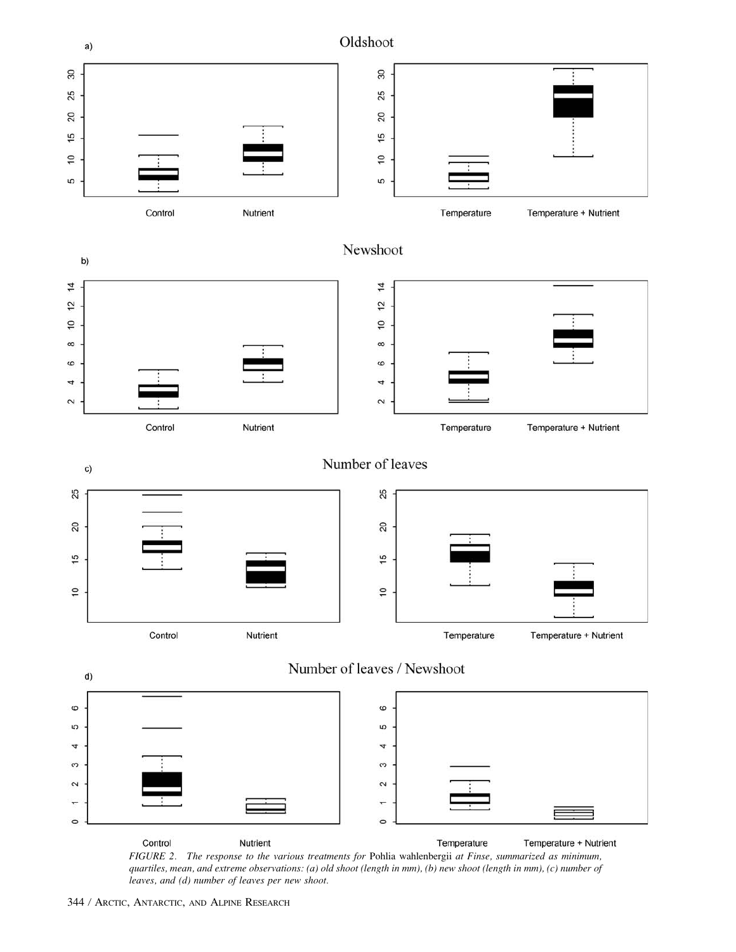

FIGURE 2. The response to the various treatments for Pohlia wahlenbergii at Finse, summarized as minimum, quartiles, mean, and extreme observations: (a) old shoot (length in mm), (b) new shoot (length in mm), (c) number of leaves, and (d) number of leaves per new shoot.

344 / ARCTIC, ANTARCTIC, AND ALPINE RESEARCH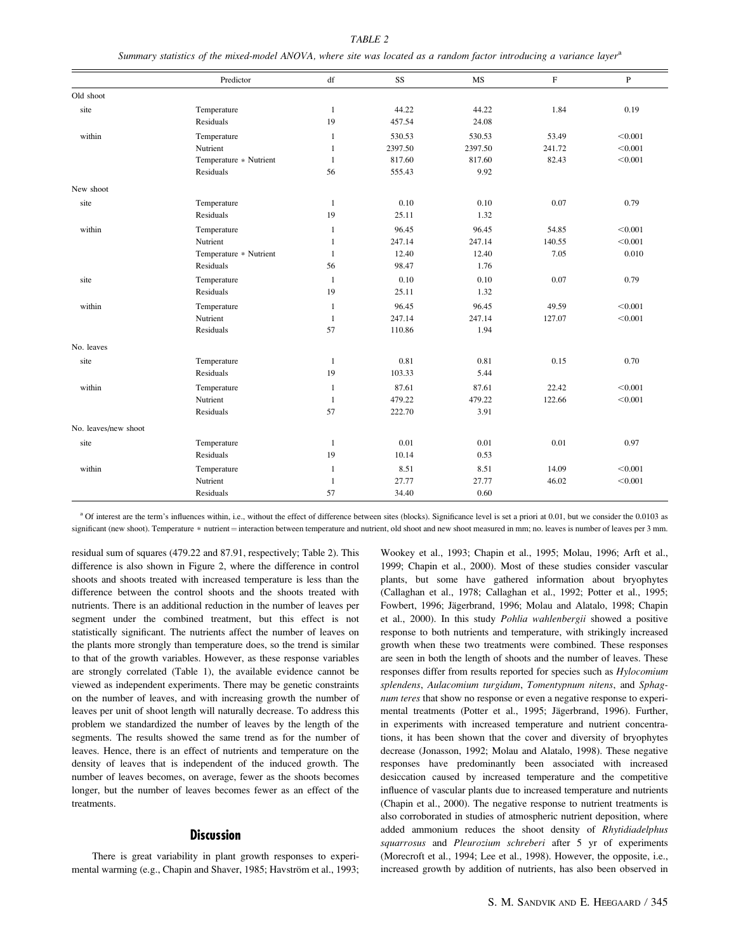|                      | Predictor              | $\mathrm{d}\mathrm{f}$ | SS      | MS      | $\mathbf F$ | $\, {\bf P}$ |
|----------------------|------------------------|------------------------|---------|---------|-------------|--------------|
| Old shoot            |                        |                        |         |         |             |              |
| site                 | Temperature            | $\mathbf{1}$           | 44.22   | 44.22   | 1.84        | 0.19         |
|                      | Residuals              | 19                     | 457.54  | 24.08   |             |              |
| within               | Temperature            | $\mathbf{1}$           | 530.53  | 530.53  | 53.49       | < 0.001      |
|                      | Nutrient               | 1                      | 2397.50 | 2397.50 | 241.72      | < 0.001      |
|                      | Temperature * Nutrient | 1                      | 817.60  | 817.60  | 82.43       | < 0.001      |
|                      | Residuals              | 56                     | 555.43  | 9.92    |             |              |
| New shoot            |                        |                        |         |         |             |              |
| site                 | Temperature            | 1                      | 0.10    | 0.10    | 0.07        | 0.79         |
|                      | Residuals              | 19                     | 25.11   | 1.32    |             |              |
| within               | Temperature            | $\mathbf{1}$           | 96.45   | 96.45   | 54.85       | < 0.001      |
|                      | Nutrient               | 1                      | 247.14  | 247.14  | 140.55      | < 0.001      |
|                      | Temperature * Nutrient | $\mathbf{1}$           | 12.40   | 12.40   | 7.05        | 0.010        |
|                      | Residuals              | 56                     | 98.47   | 1.76    |             |              |
| site                 | Temperature            | $\mathbf{1}$           | 0.10    | 0.10    | 0.07        | 0.79         |
|                      | Residuals              | 19                     | 25.11   | 1.32    |             |              |
| within               | Temperature            | $\mathbf{1}$           | 96.45   | 96.45   | 49.59       | < 0.001      |
|                      | Nutrient               | $\mathbf{1}$           | 247.14  | 247.14  | 127.07      | < 0.001      |
|                      | <b>Residuals</b>       | 57                     | 110.86  | 1.94    |             |              |
| No. leaves           |                        |                        |         |         |             |              |
| site                 | Temperature            | 1                      | 0.81    | 0.81    | 0.15        | 0.70         |
|                      | <b>Residuals</b>       | 19                     | 103.33  | 5.44    |             |              |
| within               | Temperature            | $\mathbf{1}$           | 87.61   | 87.61   | 22.42       | < 0.001      |
|                      | Nutrient               | $\mathbf{1}$           | 479.22  | 479.22  | 122.66      | < 0.001      |
|                      | <b>Residuals</b>       | 57                     | 222.70  | 3.91    |             |              |
| No. leaves/new shoot |                        |                        |         |         |             |              |
| site                 | Temperature            | 1                      | 0.01    | 0.01    | 0.01        | 0.97         |
|                      | <b>Residuals</b>       | 19                     | 10.14   | 0.53    |             |              |
| within               | Temperature            | $\mathbf{1}$           | 8.51    | 8.51    | 14.09       | < 0.001      |
|                      | Nutrient               | 1                      | 27.77   | 27.77   | 46.02       | < 0.001      |
|                      | Residuals              | 57                     | 34.40   | 0.60    |             |              |

TABLE 2 Summary statistics of the mixed-model ANOVA, where site was located as a random factor introducing a variance layer<sup>a</sup>

<sup>a</sup> Of interest are the term's influences within, i.e., without the effect of difference between sites (blocks). Significance level is set a priori at 0.01, but we consider the 0.0103 as significant (new shoot). Temperature \* nutrient = interaction between temperature and nutrient, old shoot and new shoot measured in mm; no. leaves is number of leaves per 3 mm.

residual sum of squares (479.22 and 87.91, respectively; Table 2). This difference is also shown in Figure 2, where the difference in control shoots and shoots treated with increased temperature is less than the difference between the control shoots and the shoots treated with nutrients. There is an additional reduction in the number of leaves per segment under the combined treatment, but this effect is not statistically significant. The nutrients affect the number of leaves on the plants more strongly than temperature does, so the trend is similar to that of the growth variables. However, as these response variables are strongly correlated (Table 1), the available evidence cannot be viewed as independent experiments. There may be genetic constraints on the number of leaves, and with increasing growth the number of leaves per unit of shoot length will naturally decrease. To address this problem we standardized the number of leaves by the length of the segments. The results showed the same trend as for the number of leaves. Hence, there is an effect of nutrients and temperature on the density of leaves that is independent of the induced growth. The number of leaves becomes, on average, fewer as the shoots becomes longer, but the number of leaves becomes fewer as an effect of the treatments.

## Discussion

There is great variability in plant growth responses to experimental warming (e.g., Chapin and Shaver, 1985; Havström et al., 1993;

Wookey et al., 1993; Chapin et al., 1995; Molau, 1996; Arft et al., 1999; Chapin et al., 2000). Most of these studies consider vascular plants, but some have gathered information about bryophytes (Callaghan et al., 1978; Callaghan et al., 1992; Potter et al., 1995; Fowbert, 1996; Jägerbrand, 1996; Molau and Alatalo, 1998; Chapin et al., 2000). In this study Pohlia wahlenbergii showed a positive response to both nutrients and temperature, with strikingly increased growth when these two treatments were combined. These responses are seen in both the length of shoots and the number of leaves. These responses differ from results reported for species such as Hylocomium splendens, Aulacomium turgidum, Tomentypnum nitens, and Sphagnum teres that show no response or even a negative response to experimental treatments (Potter et al., 1995; Jägerbrand, 1996). Further, in experiments with increased temperature and nutrient concentrations, it has been shown that the cover and diversity of bryophytes decrease (Jonasson, 1992; Molau and Alatalo, 1998). These negative responses have predominantly been associated with increased desiccation caused by increased temperature and the competitive influence of vascular plants due to increased temperature and nutrients (Chapin et al., 2000). The negative response to nutrient treatments is also corroborated in studies of atmospheric nutrient deposition, where added ammonium reduces the shoot density of Rhytidiadelphus squarrosus and Pleurozium schreberi after 5 yr of experiments (Morecroft et al., 1994; Lee et al., 1998). However, the opposite, i.e., increased growth by addition of nutrients, has also been observed in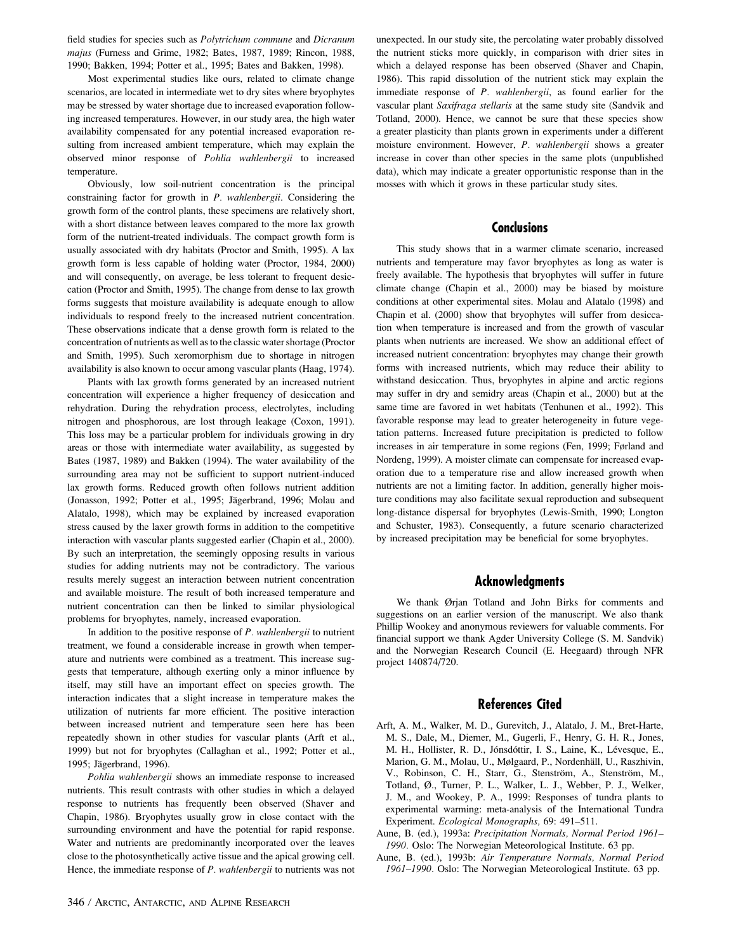field studies for species such as Polytrichum commune and Dicranum majus (Furness and Grime, 1982; Bates, 1987, 1989; Rincon, 1988, 1990; Bakken, 1994; Potter et al., 1995; Bates and Bakken, 1998).

Most experimental studies like ours, related to climate change scenarios, are located in intermediate wet to dry sites where bryophytes may be stressed by water shortage due to increased evaporation following increased temperatures. However, in our study area, the high water availability compensated for any potential increased evaporation resulting from increased ambient temperature, which may explain the observed minor response of Pohlia wahlenbergii to increased temperature.

Obviously, low soil-nutrient concentration is the principal constraining factor for growth in P. wahlenbergii. Considering the growth form of the control plants, these specimens are relatively short, with a short distance between leaves compared to the more lax growth form of the nutrient-treated individuals. The compact growth form is usually associated with dry habitats (Proctor and Smith, 1995). A lax growth form is less capable of holding water (Proctor, 1984, 2000) and will consequently, on average, be less tolerant to frequent desiccation (Proctor and Smith, 1995). The change from dense to lax growth forms suggests that moisture availability is adequate enough to allow individuals to respond freely to the increased nutrient concentration. These observations indicate that a dense growth form is related to the concentration of nutrients as well as to the classic water shortage (Proctor and Smith, 1995). Such xeromorphism due to shortage in nitrogen availability is also known to occur among vascular plants (Haag, 1974).

Plants with lax growth forms generated by an increased nutrient concentration will experience a higher frequency of desiccation and rehydration. During the rehydration process, electrolytes, including nitrogen and phosphorous, are lost through leakage (Coxon, 1991). This loss may be a particular problem for individuals growing in dry areas or those with intermediate water availability, as suggested by Bates (1987, 1989) and Bakken (1994). The water availability of the surrounding area may not be sufficient to support nutrient-induced lax growth forms. Reduced growth often follows nutrient addition (Jonasson, 1992; Potter et al., 1995; Jägerbrand, 1996; Molau and Alatalo, 1998), which may be explained by increased evaporation stress caused by the laxer growth forms in addition to the competitive interaction with vascular plants suggested earlier (Chapin et al., 2000). By such an interpretation, the seemingly opposing results in various studies for adding nutrients may not be contradictory. The various results merely suggest an interaction between nutrient concentration and available moisture. The result of both increased temperature and nutrient concentration can then be linked to similar physiological problems for bryophytes, namely, increased evaporation.

In addition to the positive response of  $P$ . wahlenbergii to nutrient treatment, we found a considerable increase in growth when temperature and nutrients were combined as a treatment. This increase suggests that temperature, although exerting only a minor influence by itself, may still have an important effect on species growth. The interaction indicates that a slight increase in temperature makes the utilization of nutrients far more efficient. The positive interaction between increased nutrient and temperature seen here has been repeatedly shown in other studies for vascular plants (Arft et al., 1999) but not for bryophytes (Callaghan et al., 1992; Potter et al., 1995; Jägerbrand, 1996).

Pohlia wahlenbergii shows an immediate response to increased nutrients. This result contrasts with other studies in which a delayed response to nutrients has frequently been observed (Shaver and Chapin, 1986). Bryophytes usually grow in close contact with the surrounding environment and have the potential for rapid response. Water and nutrients are predominantly incorporated over the leaves close to the photosynthetically active tissue and the apical growing cell. Hence, the immediate response of P. wahlenbergii to nutrients was not unexpected. In our study site, the percolating water probably dissolved the nutrient sticks more quickly, in comparison with drier sites in which a delayed response has been observed (Shaver and Chapin, 1986). This rapid dissolution of the nutrient stick may explain the immediate response of P. wahlenbergii, as found earlier for the vascular plant Saxifraga stellaris at the same study site (Sandvik and Totland, 2000). Hence, we cannot be sure that these species show a greater plasticity than plants grown in experiments under a different moisture environment. However, P. wahlenbergii shows a greater increase in cover than other species in the same plots (unpublished data), which may indicate a greater opportunistic response than in the mosses with which it grows in these particular study sites.

## **Conclusions**

This study shows that in a warmer climate scenario, increased nutrients and temperature may favor bryophytes as long as water is freely available. The hypothesis that bryophytes will suffer in future climate change (Chapin et al., 2000) may be biased by moisture conditions at other experimental sites. Molau and Alatalo (1998) and Chapin et al. (2000) show that bryophytes will suffer from desiccation when temperature is increased and from the growth of vascular plants when nutrients are increased. We show an additional effect of increased nutrient concentration: bryophytes may change their growth forms with increased nutrients, which may reduce their ability to withstand desiccation. Thus, bryophytes in alpine and arctic regions may suffer in dry and semidry areas (Chapin et al., 2000) but at the same time are favored in wet habitats (Tenhunen et al., 1992). This favorable response may lead to greater heterogeneity in future vegetation patterns. Increased future precipitation is predicted to follow increases in air temperature in some regions (Fen, 1999; Førland and Nordeng, 1999). A moister climate can compensate for increased evaporation due to a temperature rise and allow increased growth when nutrients are not a limiting factor. In addition, generally higher moisture conditions may also facilitate sexual reproduction and subsequent long-distance dispersal for bryophytes (Lewis-Smith, 1990; Longton and Schuster, 1983). Consequently, a future scenario characterized by increased precipitation may be beneficial for some bryophytes.

# Acknowledgments

We thank Ørjan Totland and John Birks for comments and suggestions on an earlier version of the manuscript. We also thank Phillip Wookey and anonymous reviewers for valuable comments. For financial support we thank Agder University College (S. M. Sandvik) and the Norwegian Research Council (E. Heegaard) through NFR project 140874/720.

### References Cited

- Arft, A. M., Walker, M. D., Gurevitch, J., Alatalo, J. M., Bret-Harte, M. S., Dale, M., Diemer, M., Gugerli, F., Henry, G. H. R., Jones, M. H., Hollister, R. D., Jónsdóttir, I. S., Laine, K., Lévesque, E., Marion, G. M., Molau, U., Mølgaard, P., Nordenhäll, U., Raszhivin, V., Robinson, C. H., Starr, G., Stenström, A., Stenström, M., Totland, Ø., Turner, P. L., Walker, L. J., Webber, P. J., Welker, J. M., and Wookey, P. A., 1999: Responses of tundra plants to experimental warming: meta-analysis of the International Tundra Experiment. Ecological Monographs, 69: 491–511.
- Aune, B. (ed.), 1993a: Precipitation Normals, Normal Period 1961– 1990. Oslo: The Norwegian Meteorological Institute. 63 pp.
- Aune, B. (ed.), 1993b: Air Temperature Normals, Normal Period 1961–1990. Oslo: The Norwegian Meteorological Institute. 63 pp.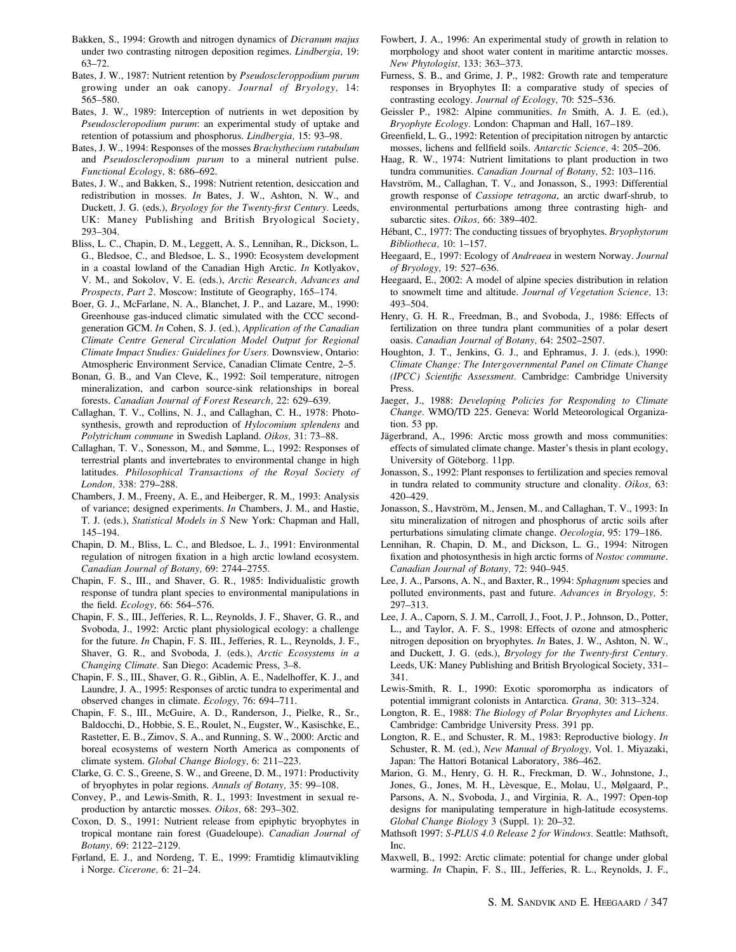- Bakken, S., 1994: Growth and nitrogen dynamics of Dicranum majus under two contrasting nitrogen deposition regimes. Lindbergia, 19: 63–72.
- Bates, J. W., 1987: Nutrient retention by Pseudoscleroppodium purum growing under an oak canopy. Journal of Bryology, 14: 565–580.
- Bates, J. W., 1989: Interception of nutrients in wet deposition by Pseudoscleropodium purum: an experimental study of uptake and retention of potassium and phosphorus. Lindbergia, 15: 93–98.
- Bates, J. W., 1994: Responses of the mosses Brachythecium rutabulum and Pseudoscleropodium purum to a mineral nutrient pulse. Functional Ecology, 8: 686–692.
- Bates, J. W., and Bakken, S., 1998: Nutrient retention, desiccation and redistribution in mosses. In Bates, J. W., Ashton, N. W., and Duckett, J. G. (eds.), Bryology for the Twenty-first Century. Leeds, UK: Maney Publishing and British Bryological Society, 293–304.
- Bliss, L. C., Chapin, D. M., Leggett, A. S., Lennihan, R., Dickson, L. G., Bledsoe, C., and Bledsoe, L. S., 1990: Ecosystem development in a coastal lowland of the Canadian High Arctic. In Kotlyakov, V. M., and Sokolov, V. E. (eds.), Arctic Research, Advances and Prospects, Part 2. Moscow: Institute of Geography, 165–174.
- Boer, G. J., McFarlane, N. A., Blanchet, J. P., and Lazare, M., 1990: Greenhouse gas-induced climatic simulated with the CCC secondgeneration GCM. In Cohen, S. J. (ed.), Application of the Canadian Climate Centre General Circulation Model Output for Regional Climate Impact Studies: Guidelines for Users. Downsview, Ontario: Atmospheric Environment Service, Canadian Climate Centre, 2–5.
- Bonan, G. B., and Van Cleve, K., 1992: Soil temperature, nitrogen mineralization, and carbon source-sink relationships in boreal forests. Canadian Journal of Forest Research, 22: 629–639.
- Callaghan, T. V., Collins, N. J., and Callaghan, C. H., 1978: Photosynthesis, growth and reproduction of Hylocomium splendens and Polytrichum commune in Swedish Lapland. Oikos, 31: 73–88.
- Callaghan, T. V., Sonesson, M., and Sømme, L., 1992: Responses of terrestrial plants and invertebrates to environmental change in high latitudes. Philosophical Transactions of the Royal Society of London, 338: 279–288.
- Chambers, J. M., Freeny, A. E., and Heiberger, R. M., 1993: Analysis of variance; designed experiments. In Chambers, J. M., and Hastie, T. J. (eds.), Statistical Models in S New York: Chapman and Hall, 145–194.
- Chapin, D. M., Bliss, L. C., and Bledsoe, L. J., 1991: Environmental regulation of nitrogen fixation in a high arctic lowland ecosystem. Canadian Journal of Botany, 69: 2744–2755.
- Chapin, F. S., III., and Shaver, G. R., 1985: Individualistic growth response of tundra plant species to environmental manipulations in the field. Ecology, 66: 564–576.
- Chapin, F. S., III., Jefferies, R. L., Reynolds, J. F., Shaver, G. R., and Svoboda, J., 1992: Arctic plant physiological ecology: a challenge for the future. In Chapin, F. S. III., Jefferies, R. L., Reynolds, J. F., Shaver, G. R., and Svoboda, J. (eds.), Arctic Ecosystems in a Changing Climate. San Diego: Academic Press, 3–8.
- Chapin, F. S., III., Shaver, G. R., Giblin, A. E., Nadelhoffer, K. J., and Laundre, J. A., 1995: Responses of arctic tundra to experimental and observed changes in climate. Ecology, 76: 694–711.
- Chapin, F. S., III., McGuire, A. D., Randerson, J., Pielke, R., Sr., Baldocchi, D., Hobbie, S. E., Roulet, N., Eugster, W., Kasischke, E., Rastetter, E. B., Zimov, S. A., and Running, S. W., 2000: Arctic and boreal ecosystems of western North America as components of climate system. Global Change Biology, 6: 211–223.
- Clarke, G. C. S., Greene, S. W., and Greene, D. M., 1971: Productivity of bryophytes in polar regions. Annals of Botany, 35: 99–108.
- Convey, P., and Lewis-Smith, R. I., 1993: Investment in sexual reproduction by antarctic mosses. Oikos, 68: 293–302.
- Coxon, D. S., 1991: Nutrient release from epiphytic bryophytes in tropical montane rain forest (Guadeloupe). Canadian Journal of Botany, 69: 2122–2129.
- Førland, E. J., and Nordeng, T. E., 1999: Framtidig klimautvikling i Norge. Cicerone, 6: 21–24.
- Fowbert, J. A., 1996: An experimental study of growth in relation to morphology and shoot water content in maritime antarctic mosses. New Phytologist, 133: 363–373.
- Furness, S. B., and Grime, J. P., 1982: Growth rate and temperature responses in Bryophytes II: a comparative study of species of contrasting ecology. Journal of Ecology, 70: 525–536.
- Geissler P., 1982: Alpine communities. In Smith, A. J. E. (ed.), Bryophyte Ecology. London: Chapman and Hall, 167–189.
- Greenfield, L. G., 1992: Retention of precipitation nitrogen by antarctic mosses, lichens and fellfield soils. Antarctic Science, 4: 205–206.
- Haag, R. W., 1974: Nutrient limitations to plant production in two tundra communities. Canadian Journal of Botany, 52: 103–116.
- Havström, M., Callaghan, T. V., and Jonasson, S., 1993: Differential growth response of Cassiope tetragona, an arctic dwarf-shrub, to environmental perturbations among three contrasting high- and subarctic sites. Oikos, 66: 389-402.
- Hébant, C., 1977: The conducting tissues of bryophytes. Bryophytorum Bibliotheca, 10: 1–157.
- Heegaard, E., 1997: Ecology of Andreaea in western Norway. Journal of Bryology, 19: 527–636.
- Heegaard, E., 2002: A model of alpine species distribution in relation to snowmelt time and altitude. Journal of Vegetation Science, 13: 493–504.
- Henry, G. H. R., Freedman, B., and Svoboda, J., 1986: Effects of fertilization on three tundra plant communities of a polar desert oasis. Canadian Journal of Botany, 64: 2502–2507.
- Houghton, J. T., Jenkins, G. J., and Ephramus, J. J. (eds.), 1990: Climate Change: The Intergovernmental Panel on Climate Change (IPCC) Scientific Assessment. Cambridge: Cambridge University Press.
- Jaeger, J., 1988: Developing Policies for Responding to Climate Change. WMO/TD 225. Geneva: World Meteorological Organization. 53 pp.
- Jägerbrand, A., 1996: Arctic moss growth and moss communities: effects of simulated climate change. Master's thesis in plant ecology, University of Göteborg. 11pp.
- Jonasson, S., 1992: Plant responses to fertilization and species removal in tundra related to community structure and clonality. Oikos, 63: 420–429.
- Jonasson, S., Havström, M., Jensen, M., and Callaghan, T. V., 1993: In situ mineralization of nitrogen and phosphorus of arctic soils after perturbations simulating climate change. Oecologia, 95: 179–186.
- Lennihan, R. Chapin, D. M., and Dickson, L. G., 1994: Nitrogen fixation and photosynthesis in high arctic forms of Nostoc commune. Canadian Journal of Botany, 72: 940–945.
- Lee, J. A., Parsons, A. N., and Baxter, R., 1994: Sphagnum species and polluted environments, past and future. Advances in Bryology, 5: 297–313.
- Lee, J. A., Caporn, S. J. M., Carroll, J., Foot, J. P., Johnson, D., Potter, L., and Taylor, A. F. S., 1998: Effects of ozone and atmospheric nitrogen deposition on bryophytes. In Bates, J. W., Ashton, N. W., and Duckett, J. G. (eds.), Bryology for the Twenty-first Century. Leeds, UK: Maney Publishing and British Bryological Society, 331– 341.
- Lewis-Smith, R. I., 1990: Exotic sporomorpha as indicators of potential immigrant colonists in Antarctica. Grana, 30: 313–324.
- Longton, R. E., 1988: The Biology of Polar Bryophytes and Lichens. Cambridge: Cambridge University Press. 391 pp.
- Longton, R. E., and Schuster, R. M., 1983: Reproductive biology. In Schuster, R. M. (ed.), New Manual of Bryology, Vol. 1. Miyazaki, Japan: The Hattori Botanical Laboratory, 386–462.
- Marion, G. M., Henry, G. H. R., Freckman, D. W., Johnstone, J., Jones, G., Jones, M. H., Lèvesque, E., Molau, U., Mølgaard, P., Parsons, A. N., Svoboda, J., and Virginia, R. A., 1997: Open-top designs for manipulating temperature in high-latitude ecosystems. Global Change Biology 3 (Suppl. 1): 20–32.
- Mathsoft 1997: S-PLUS 4.0 Release 2 for Windows. Seattle: Mathsoft, Inc.
- Maxwell, B., 1992: Arctic climate: potential for change under global warming. In Chapin, F. S., III., Jefferies, R. L., Reynolds, J. F.,